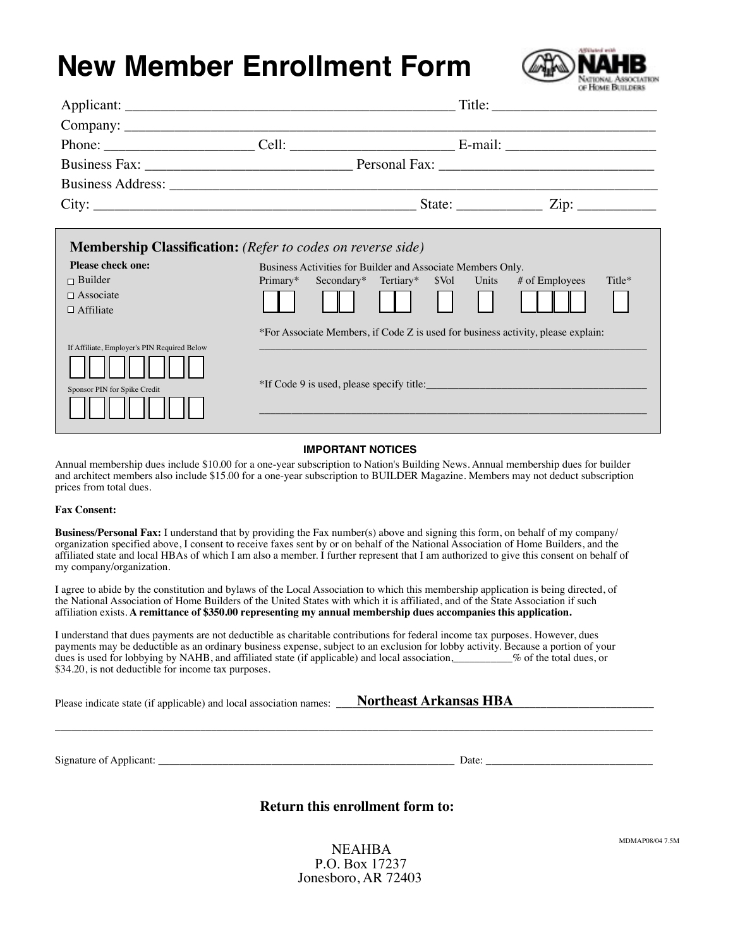# **New Member Enrollment Form**



| <b>Membership Classification:</b> (Refer to codes on reverse side) |                                                                                  |  |  |
|--------------------------------------------------------------------|----------------------------------------------------------------------------------|--|--|
| Please check one:                                                  | Business Activities for Builder and Associate Members Only.                      |  |  |
| $\Box$ Builder                                                     | Primary*<br>Secondary* Tertiary* \$Vol Units # of Employees<br>Title*            |  |  |
| $\Box$ Associate                                                   |                                                                                  |  |  |
| $\Box$ Affiliate                                                   |                                                                                  |  |  |
|                                                                    | *For Associate Members, if Code Z is used for business activity, please explain: |  |  |
| If Affiliate, Employer's PIN Required Below                        |                                                                                  |  |  |
|                                                                    |                                                                                  |  |  |
| Sponsor PIN for Spike Credit                                       | *If Code 9 is used, please specify title:                                        |  |  |
|                                                                    |                                                                                  |  |  |
|                                                                    |                                                                                  |  |  |
|                                                                    |                                                                                  |  |  |

#### **IMPORTANT NOTICES**

Annual membership dues include \$10.00 for a one-year subscription to Nation's Building News. Annual membership dues for builder and architect members also include \$15.00 for a one-year subscription to BUILDER Magazine. Members may not deduct subscription prices from total dues.

#### **Fax Consent:**

**Business/Personal Fax:** I understand that by providing the Fax number(s) above and signing this form, on behalf of my company/ organization specified above, I consent to receive faxes sent by or on behalf of the National Association of Home Builders, and the affiliated state and local HBAs of which I am also a member. I further represent that I am authorized to give this consent on behalf of my company/organization.

I agree to abide by the constitution and bylaws of the Local Association to which this membership application is being directed, of the National Association of Home Builders of the United States with which it is affiliated, and of the State Association if such affiliation exists. **A remittance of \$350.00 representing my annual membership dues accompanies this application.**

I understand that dues payments are not deductible as charitable contributions for federal income tax purposes. However, dues payments may be deductible as an ordinary business expense, subject to an exclusion for lobby activity. Because a portion of your dues is used for lobbying by NAHB, and affiliated state (if applicable) and local association,\_\_\_\_\_\_\_\_\_\_\_% of the total dues, or \$34.20, is not deductible for income tax purposes.

Please indicate state (if applicable) and local association names: \_\_\_\_\_**Northeast Arkansas HBA** 

Signature of Applicant: \_\_\_\_\_\_\_\_\_\_\_\_\_\_\_\_\_\_\_\_\_\_\_\_\_\_\_\_\_\_\_\_\_\_\_\_\_\_\_\_\_\_\_\_\_\_\_\_\_\_\_\_\_\_\_ Date: \_\_\_\_\_\_\_\_\_\_\_\_\_\_\_\_\_\_\_\_\_\_\_\_\_\_\_\_\_\_\_

### **Return this enrollment form to:**

\_\_\_\_\_\_\_\_\_\_\_\_\_\_\_\_\_\_\_\_\_\_\_\_\_\_\_\_\_\_\_\_\_\_\_\_\_\_\_\_\_\_\_\_\_\_\_\_\_\_\_\_\_\_\_\_\_\_\_\_\_\_\_\_\_\_\_\_\_\_\_\_\_\_\_\_\_\_\_\_\_\_\_\_\_\_\_\_\_\_\_\_\_\_\_\_\_\_\_\_\_\_\_\_\_\_\_\_\_\_\_

NEAHBA P.O. Box 17237 Jonesboro, AR 72403 MDMAP08/04 7.5M